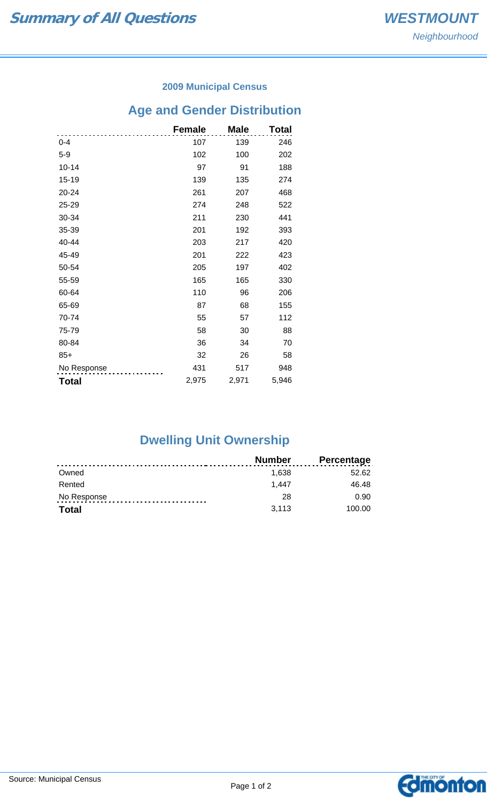### **2009 Municipal Census**

## **Age and Gender Distribution**

|              | <b>Female</b> | <b>Male</b> | <b>Total</b> |
|--------------|---------------|-------------|--------------|
| $0 - 4$      | 107           | 139         | 246          |
| $5-9$        | 102           | 100         | 202          |
| $10 - 14$    | 97            | 91          | 188          |
| 15-19        | 139           | 135         | 274          |
| 20-24        | 261           | 207         | 468          |
| 25-29        | 274           | 248         | 522          |
| 30-34        | 211           | 230         | 441          |
| 35-39        | 201           | 192         | 393          |
| 40-44        | 203           | 217         | 420          |
| 45-49        | 201           | 222         | 423          |
| 50-54        | 205           | 197         | 402          |
| 55-59        | 165           | 165         | 330          |
| 60-64        | 110           | 96          | 206          |
| 65-69        | 87            | 68          | 155          |
| 70-74        | 55            | 57          | 112          |
| 75-79        | 58            | 30          | 88           |
| 80-84        | 36            | 34          | 70           |
| $85+$        | 32            | 26          | 58           |
| No Response  | 431           | 517         | 948          |
| <b>Total</b> | 2,975         | 2,971       | 5,946        |

# **Dwelling Unit Ownership**

|              | <b>Number</b> | <b>Percentage</b> |
|--------------|---------------|-------------------|
| Owned        | 1.638         | 52.62             |
| Rented       | 1.447         | 46.48             |
| No Response  | 28            | 0.90              |
| <b>Total</b> | 3,113         | 100.00            |